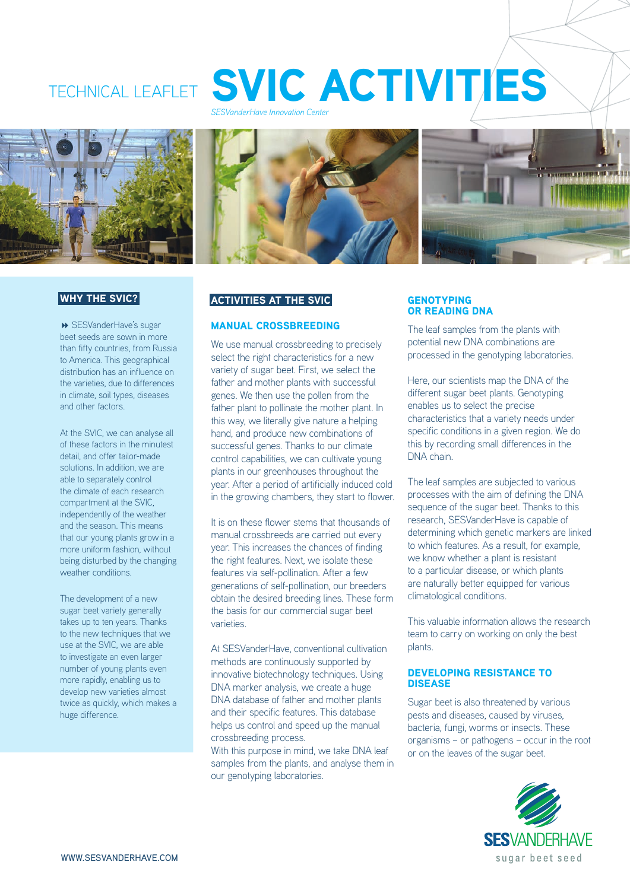





# WHY THE SVIC?

 SESVanderHave's sugar beet seeds are sown in more than fifty countries, from Russia to America. This geographical distribution has an influence on the varieties, due to differences in climate, soil types, diseases and other factors.

At the SVIC, we can analyse all of these factors in the minutest detail, and offer tailor-made solutions. In addition, we are able to separately control the climate of each research compartment at the SVIC, independently of the weather and the season. This means that our young plants grow in a more uniform fashion, without being disturbed by the changing weather conditions.

The development of a new sugar beet variety generally takes up to ten years. Thanks to the new techniques that we use at the SVIC, we are able to investigate an even larger number of young plants even more rapidly, enabling us to develop new varieties almost twice as quickly, which makes a huge difference.

# ACTIVITIES AT THE SVIC

## MANUAL CROSSBREEDING

We use manual crossbreeding to precisely select the right characteristics for a new variety of sugar beet. First, we select the father and mother plants with successful genes. We then use the pollen from the father plant to pollinate the mother plant. In this way, we literally give nature a helping hand, and produce new combinations of successful genes. Thanks to our climate control capabilities, we can cultivate young plants in our greenhouses throughout the year. After a period of artificially induced cold in the growing chambers, they start to flower.

It is on these flower stems that thousands of manual crossbreeds are carried out every year. This increases the chances of finding the right features. Next, we isolate these features via self-pollination. After a few generations of self-pollination, our breeders obtain the desired breeding lines. These form the basis for our commercial sugar beet varieties.

At SESVanderHave, conventional cultivation methods are continuously supported by innovative biotechnology techniques. Using DNA marker analysis, we create a huge DNA database of father and mother plants and their specific features. This database helps us control and speed up the manual crossbreeding process.

With this purpose in mind, we take DNA leaf samples from the plants, and analyse them in our genotyping laboratories.

#### **GENOTYPING** OR READING DNA

The leaf samples from the plants with potential new DNA combinations are processed in the genotyping laboratories.

Here, our scientists map the DNA of the different sugar beet plants. Genotyping enables us to select the precise characteristics that a variety needs under specific conditions in a given region. We do this by recording small differences in the DNA chain.

The leaf samples are subjected to various processes with the aim of defining the DNA sequence of the sugar beet. Thanks to this research, SESVanderHave is capable of determining which genetic markers are linked to which features. As a result, for example, we know whether a plant is resistant to a particular disease, or which plants are naturally better equipped for various climatological conditions.

This valuable information allows the research team to carry on working on only the best plants.

#### DEVELOPING RESISTANCE TO DISEASE

Sugar beet is also threatened by various pests and diseases, caused by viruses, bacteria, fungi, worms or insects. These organisms – or pathogens – occur in the root or on the leaves of the sugar beet.